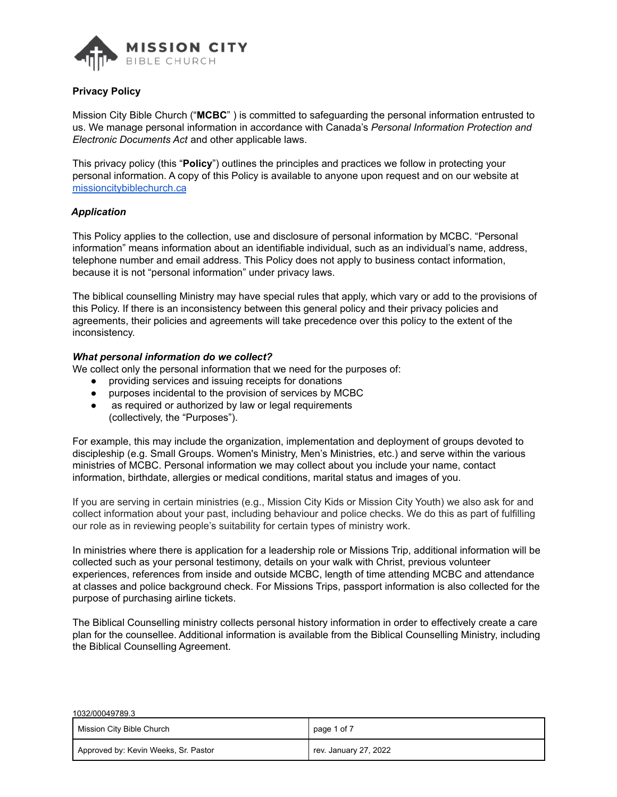

Mission City Bible Church ("**MCBC**" ) is committed to safeguarding the personal information entrusted to us. We manage personal information in accordance with Canada's *Personal Information Protection and Electronic Documents Act* and other applicable laws.

This privacy policy (this "**Policy**") outlines the principles and practices we follow in protecting your personal information. A copy of this Policy is available to anyone upon request and on our website at missioncitybiblechurch.ca

### *Application*

This Policy applies to the collection, use and disclosure of personal information by MCBC. "Personal information" means information about an identifiable individual, such as an individual's name, address, telephone number and email address. This Policy does not apply to business contact information, because it is not "personal information" under privacy laws.

The biblical counselling Ministry may have special rules that apply, which vary or add to the provisions of this Policy. If there is an inconsistency between this general policy and their privacy policies and agreements, their policies and agreements will take precedence over this policy to the extent of the inconsistency.

#### *What personal information do we collect?*

We collect only the personal information that we need for the purposes of:

- providing services and issuing receipts for donations
- purposes incidental to the provision of services by MCBC
- as required or authorized by law or legal requirements (collectively, the "Purposes").

For example, this may include the organization, implementation and deployment of groups devoted to discipleship (e.g. Small Groups. Women's Ministry, Men's Ministries, etc.) and serve within the various ministries of MCBC. Personal information we may collect about you include your name, contact information, birthdate, allergies or medical conditions, marital status and images of you.

If you are serving in certain ministries (e.g., Mission City Kids or Mission City Youth) we also ask for and collect information about your past, including behaviour and police checks. We do this as part of fulfilling our role as in reviewing people's suitability for certain types of ministry work.

In ministries where there is application for a leadership role or Missions Trip, additional information will be collected such as your personal testimony, details on your walk with Christ, previous volunteer experiences, references from inside and outside MCBC, length of time attending MCBC and attendance at classes and police background check. For Missions Trips, passport information is also collected for the purpose of purchasing airline tickets.

The Biblical Counselling ministry collects personal history information in order to effectively create a care plan for the counsellee. Additional information is available from the Biblical Counselling Ministry, including the Biblical Counselling Agreement.

| 1032/00049789.3                      |                       |  |
|--------------------------------------|-----------------------|--|
| Mission City Bible Church            | page 1 of 7           |  |
| Approved by: Kevin Weeks, Sr. Pastor | rev. January 27, 2022 |  |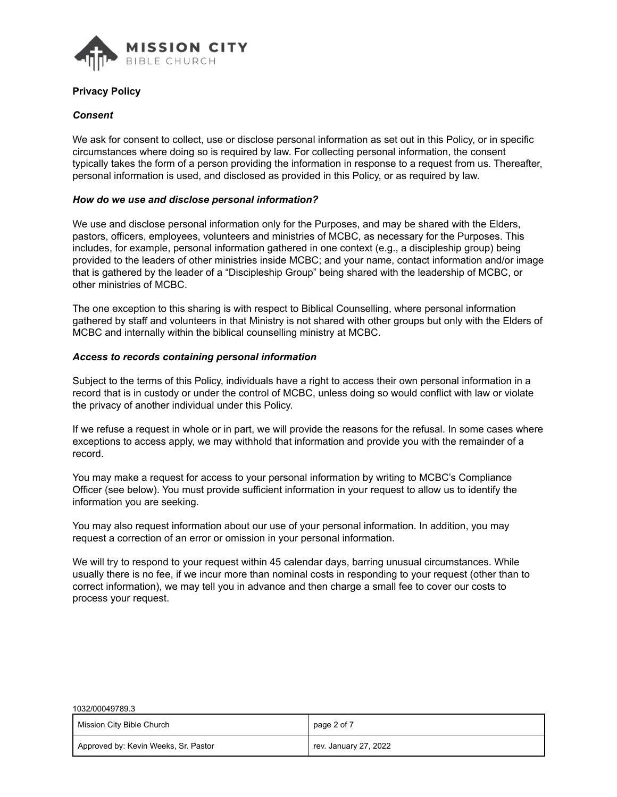

 $10000000000000$ 

### *Consent*

We ask for consent to collect, use or disclose personal information as set out in this Policy, or in specific circumstances where doing so is required by law. For collecting personal information, the consent typically takes the form of a person providing the information in response to a request from us. Thereafter, personal information is used, and disclosed as provided in this Policy, or as required by law.

### *How do we use and disclose personal information?*

We use and disclose personal information only for the Purposes, and may be shared with the Elders, pastors, officers, employees, volunteers and ministries of MCBC, as necessary for the Purposes. This includes, for example, personal information gathered in one context (e.g., a discipleship group) being provided to the leaders of other ministries inside MCBC; and your name, contact information and/or image that is gathered by the leader of a "Discipleship Group" being shared with the leadership of MCBC, or other ministries of MCBC.

The one exception to this sharing is with respect to Biblical Counselling, where personal information gathered by staff and volunteers in that Ministry is not shared with other groups but only with the Elders of MCBC and internally within the biblical counselling ministry at MCBC.

### *Access to records containing personal information*

Subject to the terms of this Policy, individuals have a right to access their own personal information in a record that is in custody or under the control of MCBC, unless doing so would conflict with law or violate the privacy of another individual under this Policy.

If we refuse a request in whole or in part, we will provide the reasons for the refusal. In some cases where exceptions to access apply, we may withhold that information and provide you with the remainder of a record.

You may make a request for access to your personal information by writing to MCBC's Compliance Officer (see below). You must provide sufficient information in your request to allow us to identify the information you are seeking.

You may also request information about our use of your personal information. In addition, you may request a correction of an error or omission in your personal information.

We will try to respond to your request within 45 calendar days, barring unusual circumstances. While usually there is no fee, if we incur more than nominal costs in responding to your request (other than to correct information), we may tell you in advance and then charge a small fee to cover our costs to process your request.

| 1032/00049789.3                      |                       |  |
|--------------------------------------|-----------------------|--|
| Mission City Bible Church            | page 2 of 7           |  |
| Approved by: Kevin Weeks, Sr. Pastor | rev. January 27, 2022 |  |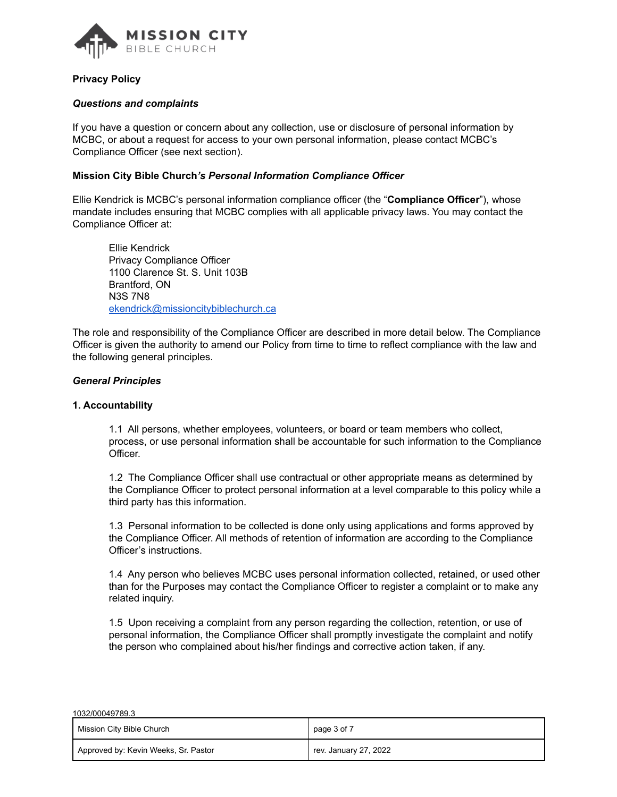

### *Questions and complaints*

If you have a question or concern about any collection, use or disclosure of personal information by MCBC, or about a request for access to your own personal information, please contact MCBC's Compliance Officer (see next section).

#### **Mission City Bible Church***'s Personal Information Compliance Officer*

Ellie Kendrick is MCBC's personal information compliance officer (the "**Compliance Officer**"), whose mandate includes ensuring that MCBC complies with all applicable privacy laws. You may contact the Compliance Officer at:

Ellie Kendrick Privacy Compliance Officer 1100 Clarence St. S. Unit 103B Brantford, ON N3S 7N8 ekendrick@missioncitybiblechurch.ca

The role and responsibility of the Compliance Officer are described in more detail below. The Compliance Officer is given the authority to amend our Policy from time to time to reflect compliance with the law and the following general principles.

#### *General Principles*

#### **1. Accountability**

 $10000000000000$ 

1.1 All persons, whether employees, volunteers, or board or team members who collect, process, or use personal information shall be accountable for such information to the Compliance Officer.

1.2 The Compliance Officer shall use contractual or other appropriate means as determined by the Compliance Officer to protect personal information at a level comparable to this policy while a third party has this information.

1.3 Personal information to be collected is done only using applications and forms approved by the Compliance Officer. All methods of retention of information are according to the Compliance Officer's instructions.

1.4 Any person who believes MCBC uses personal information collected, retained, or used other than for the Purposes may contact the Compliance Officer to register a complaint or to make any related inquiry.

1.5 Upon receiving a complaint from any person regarding the collection, retention, or use of personal information, the Compliance Officer shall promptly investigate the complaint and notify the person who complained about his/her findings and corrective action taken, if any.

| 1032/00049789.3                      |                       |
|--------------------------------------|-----------------------|
| Mission City Bible Church            | page 3 of 7           |
| Approved by: Kevin Weeks, Sr. Pastor | rev. January 27, 2022 |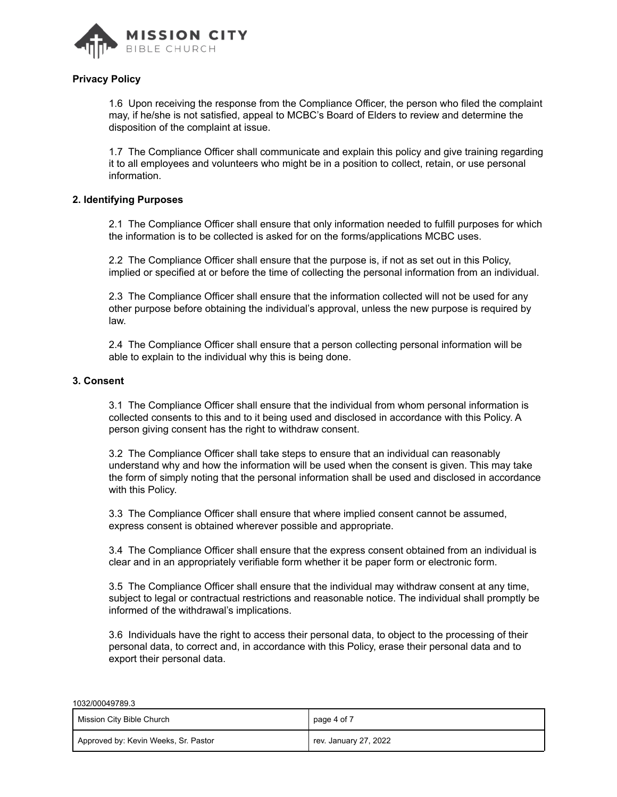

1.6 Upon receiving the response from the Compliance Officer, the person who filed the complaint may, if he/she is not satisfied, appeal to MCBC's Board of Elders to review and determine the disposition of the complaint at issue.

1.7 The Compliance Officer shall communicate and explain this policy and give training regarding it to all employees and volunteers who might be in a position to collect, retain, or use personal information.

# **2. Identifying Purposes**

2.1 The Compliance Officer shall ensure that only information needed to fulfill purposes for which the information is to be collected is asked for on the forms/applications MCBC uses.

2.2 The Compliance Officer shall ensure that the purpose is, if not as set out in this Policy, implied or specified at or before the time of collecting the personal information from an individual.

2.3 The Compliance Officer shall ensure that the information collected will not be used for any other purpose before obtaining the individual's approval, unless the new purpose is required by law.

2.4 The Compliance Officer shall ensure that a person collecting personal information will be able to explain to the individual why this is being done.

# **3. Consent**

1032/00049789.3

3.1 The Compliance Officer shall ensure that the individual from whom personal information is collected consents to this and to it being used and disclosed in accordance with this Policy. A person giving consent has the right to withdraw consent.

3.2 The Compliance Officer shall take steps to ensure that an individual can reasonably understand why and how the information will be used when the consent is given. This may take the form of simply noting that the personal information shall be used and disclosed in accordance with this Policy.

3.3 The Compliance Officer shall ensure that where implied consent cannot be assumed, express consent is obtained wherever possible and appropriate.

3.4 The Compliance Officer shall ensure that the express consent obtained from an individual is clear and in an appropriately verifiable form whether it be paper form or electronic form.

3.5 The Compliance Officer shall ensure that the individual may withdraw consent at any time, subject to legal or contractual restrictions and reasonable notice. The individual shall promptly be informed of the withdrawal's implications.

3.6 Individuals have the right to access their personal data, to object to the processing of their personal data, to correct and, in accordance with this Policy, erase their personal data and to export their personal data.

| Mission City Bible Church            | page 4 of 7           |
|--------------------------------------|-----------------------|
| Approved by: Kevin Weeks, Sr. Pastor | rev. January 27, 2022 |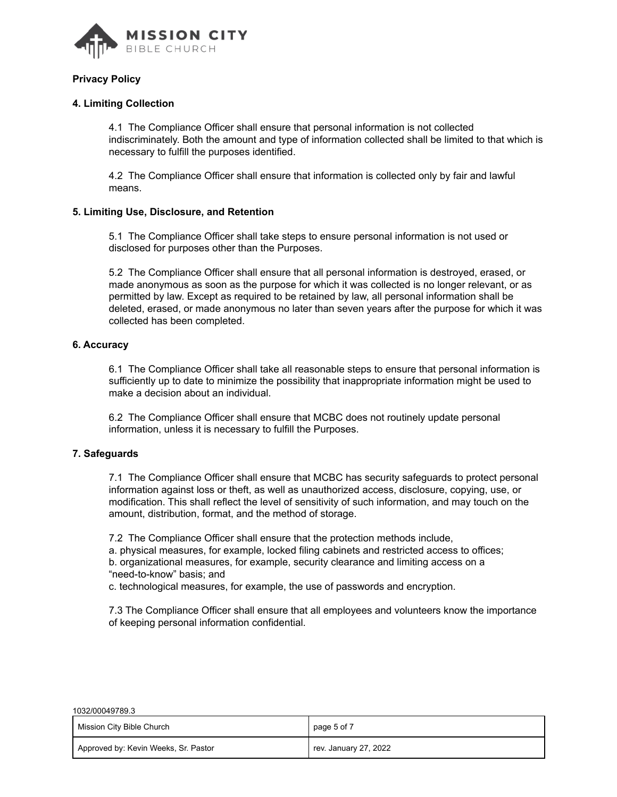

### **4. Limiting Collection**

4.1 The Compliance Officer shall ensure that personal information is not collected indiscriminately. Both the amount and type of information collected shall be limited to that which is necessary to fulfill the purposes identified.

4.2 The Compliance Officer shall ensure that information is collected only by fair and lawful means.

### **5. Limiting Use, Disclosure, and Retention**

5.1 The Compliance Officer shall take steps to ensure personal information is not used or disclosed for purposes other than the Purposes.

5.2 The Compliance Officer shall ensure that all personal information is destroyed, erased, or made anonymous as soon as the purpose for which it was collected is no longer relevant, or as permitted by law. Except as required to be retained by law, all personal information shall be deleted, erased, or made anonymous no later than seven years after the purpose for which it was collected has been completed.

### **6. Accuracy**

6.1 The Compliance Officer shall take all reasonable steps to ensure that personal information is sufficiently up to date to minimize the possibility that inappropriate information might be used to make a decision about an individual.

6.2 The Compliance Officer shall ensure that MCBC does not routinely update personal information, unless it is necessary to fulfill the Purposes.

### **7. Safeguards**

7.1 The Compliance Officer shall ensure that MCBC has security safeguards to protect personal information against loss or theft, as well as unauthorized access, disclosure, copying, use, or modification. This shall reflect the level of sensitivity of such information, and may touch on the amount, distribution, format, and the method of storage.

7.2 The Compliance Officer shall ensure that the protection methods include, a. physical measures, for example, locked filing cabinets and restricted access to offices; b. organizational measures, for example, security clearance and limiting access on a "need-to-know" basis; and

c. technological measures, for example, the use of passwords and encryption.

7.3 The Compliance Officer shall ensure that all employees and volunteers know the importance of keeping personal information confidential.

| 1032/00049789.3                      |                       |  |
|--------------------------------------|-----------------------|--|
| Mission City Bible Church            | page 5 of 7           |  |
| Approved by: Kevin Weeks, Sr. Pastor | rev. January 27, 2022 |  |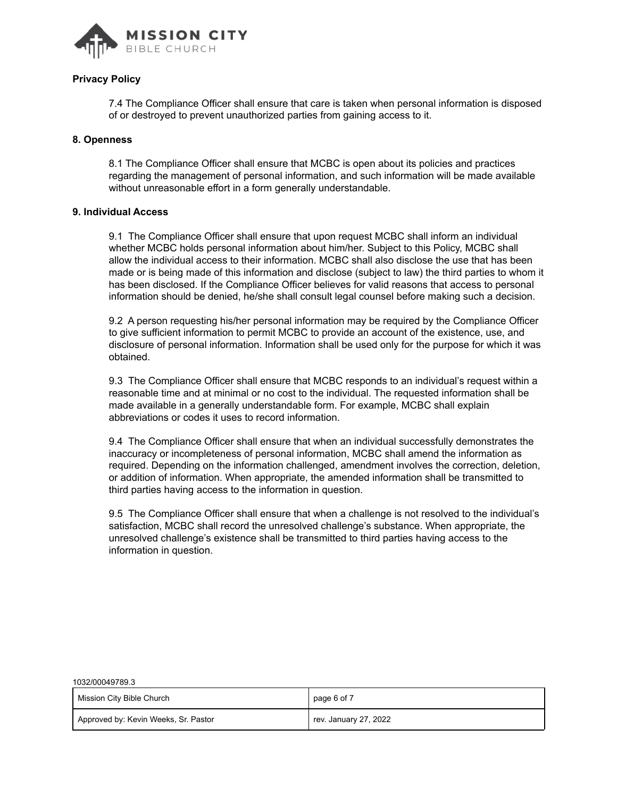

7.4 The Compliance Officer shall ensure that care is taken when personal information is disposed of or destroyed to prevent unauthorized parties from gaining access to it.

#### **8. Openness**

1032/00049789.3

8.1 The Compliance Officer shall ensure that MCBC is open about its policies and practices regarding the management of personal information, and such information will be made available without unreasonable effort in a form generally understandable.

#### **9. Individual Access**

9.1 The Compliance Officer shall ensure that upon request MCBC shall inform an individual whether MCBC holds personal information about him/her. Subject to this Policy, MCBC shall allow the individual access to their information. MCBC shall also disclose the use that has been made or is being made of this information and disclose (subject to law) the third parties to whom it has been disclosed. If the Compliance Officer believes for valid reasons that access to personal information should be denied, he/she shall consult legal counsel before making such a decision.

9.2 A person requesting his/her personal information may be required by the Compliance Officer to give sufficient information to permit MCBC to provide an account of the existence, use, and disclosure of personal information. Information shall be used only for the purpose for which it was obtained.

9.3 The Compliance Officer shall ensure that MCBC responds to an individual's request within a reasonable time and at minimal or no cost to the individual. The requested information shall be made available in a generally understandable form. For example, MCBC shall explain abbreviations or codes it uses to record information.

9.4 The Compliance Officer shall ensure that when an individual successfully demonstrates the inaccuracy or incompleteness of personal information, MCBC shall amend the information as required. Depending on the information challenged, amendment involves the correction, deletion, or addition of information. When appropriate, the amended information shall be transmitted to third parties having access to the information in question.

9.5 The Compliance Officer shall ensure that when a challenge is not resolved to the individual's satisfaction, MCBC shall record the unresolved challenge's substance. When appropriate, the unresolved challenge's existence shall be transmitted to third parties having access to the information in question.

| 1002/00049709.0                      |                       |
|--------------------------------------|-----------------------|
| Mission City Bible Church            | page 6 of 7           |
| Approved by: Kevin Weeks, Sr. Pastor | rev. January 27, 2022 |